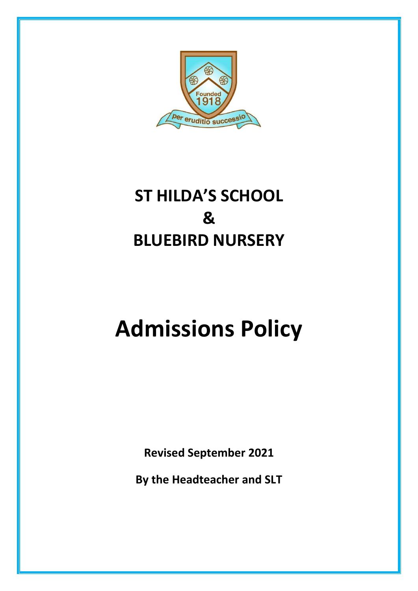

# **ST HILDA'S SCHOOL & BLUEBIRD NURSERY**

# **Admissions Policy**

**Revised September 2021**

**By the Headteacher and SLT**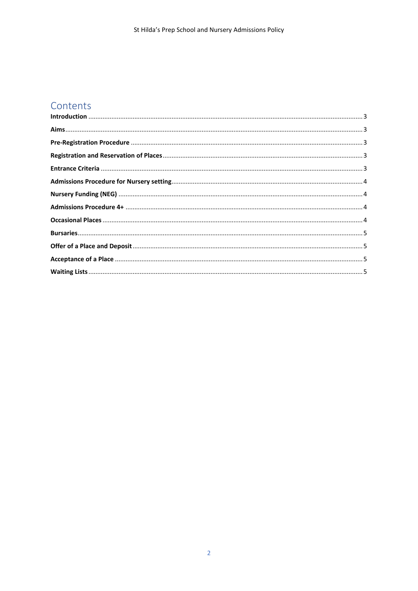# Contents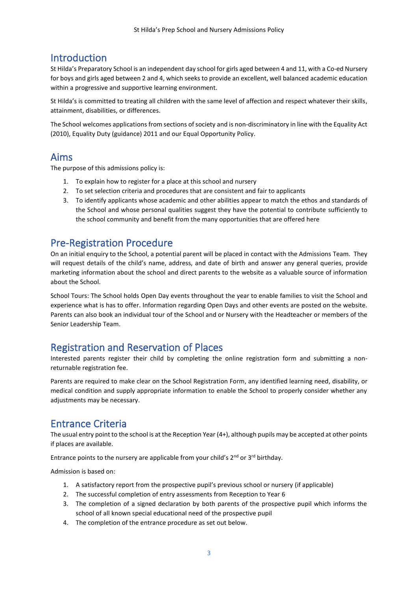# <span id="page-2-0"></span>Introduction

St Hilda's Preparatory School is an independent day school for girls aged between 4 and 11, with a Co-ed Nursery for boys and girls aged between 2 and 4, which seeks to provide an excellent, well balanced academic education within a progressive and supportive learning environment.

St Hilda's is committed to treating all children with the same level of affection and respect whatever their skills, attainment, disabilities, or differences.

The School welcomes applications from sections of society and is non-discriminatory in line with the Equality Act (2010), Equality Duty (guidance) 2011 and our Equal Opportunity Policy.

#### <span id="page-2-1"></span>Aims

The purpose of this admissions policy is:

- 1. To explain how to register for a place at this school and nursery
- 2. To set selection criteria and procedures that are consistent and fair to applicants
- 3. To identify applicants whose academic and other abilities appear to match the ethos and standards of the School and whose personal qualities suggest they have the potential to contribute sufficiently to the school community and benefit from the many opportunities that are offered here

# <span id="page-2-2"></span>Pre-Registration Procedure

On an initial enquiry to the School, a potential parent will be placed in contact with the Admissions Team. They will request details of the child's name, address, and date of birth and answer any general queries, provide marketing information about the school and direct parents to the website as a valuable source of information about the School.

School Tours: The School holds Open Day events throughout the year to enable families to visit the School and experience what is has to offer. Information regarding Open Days and other events are posted on the website. Parents can also book an individual tour of the School and or Nursery with the Headteacher or members of the Senior Leadership Team.

#### <span id="page-2-3"></span>Registration and Reservation of Places

Interested parents register their child by completing the online registration form and submitting a nonreturnable registration fee.

Parents are required to make clear on the School Registration Form, any identified learning need, disability, or medical condition and supply appropriate information to enable the School to properly consider whether any adjustments may be necessary.

# <span id="page-2-4"></span>Entrance Criteria

The usual entry point to the school is at the Reception Year (4+), although pupils may be accepted at other points if places are available.

Entrance points to the nursery are applicable from your child's  $2^{nd}$  or  $3^{rd}$  birthday.

Admission is based on:

- 1. A satisfactory report from the prospective pupil's previous school or nursery (if applicable)
- 2. The successful completion of entry assessments from Reception to Year 6
- 3. The completion of a signed declaration by both parents of the prospective pupil which informs the school of all known special educational need of the prospective pupil
- 4. The completion of the entrance procedure as set out below.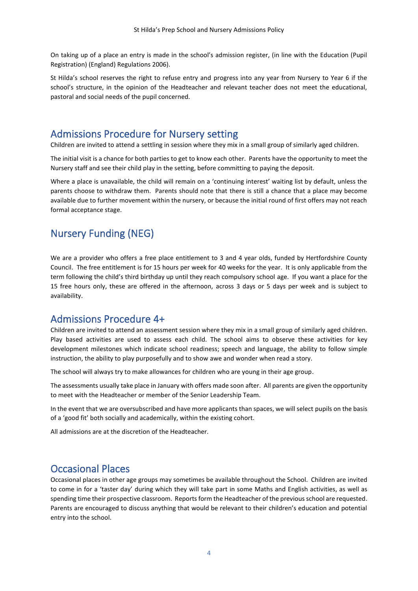On taking up of a place an entry is made in the school's admission register, (in line with the Education (Pupil Registration) (England) Regulations 2006).

St Hilda's school reserves the right to refuse entry and progress into any year from Nursery to Year 6 if the school's structure, in the opinion of the Headteacher and relevant teacher does not meet the educational, pastoral and social needs of the pupil concerned.

#### <span id="page-3-0"></span>Admissions Procedure for Nursery setting

Children are invited to attend a settling in session where they mix in a small group of similarly aged children.

The initial visit is a chance for both parties to get to know each other. Parents have the opportunity to meet the Nursery staff and see their child play in the setting, before committing to paying the deposit.

Where a place is unavailable, the child will remain on a 'continuing interest' waiting list by default, unless the parents choose to withdraw them. Parents should note that there is still a chance that a place may become available due to further movement within the nursery, or because the initial round of first offers may not reach formal acceptance stage.

### <span id="page-3-1"></span>Nursery Funding (NEG)

We are a provider who offers a free place entitlement to 3 and 4 year olds, funded by Hertfordshire County Council. The free entitlement is for 15 hours per week for 40 weeks for the year. It is only applicable from the term following the child's third birthday up until they reach compulsory school age. If you want a place for the 15 free hours only, these are offered in the afternoon, across 3 days or 5 days per week and is subject to availability.

#### <span id="page-3-2"></span>Admissions Procedure 4+

Children are invited to attend an assessment session where they mix in a small group of similarly aged children. Play based activities are used to assess each child. The school aims to observe these activities for key development milestones which indicate school readiness; speech and language, the ability to follow simple instruction, the ability to play purposefully and to show awe and wonder when read a story.

The school will always try to make allowances for children who are young in their age group.

The assessments usually take place in January with offers made soon after. All parents are given the opportunity to meet with the Headteacher or member of the Senior Leadership Team.

In the event that we are oversubscribed and have more applicants than spaces, we will select pupils on the basis of a 'good fit' both socially and academically, within the existing cohort.

All admissions are at the discretion of the Headteacher.

#### <span id="page-3-3"></span>Occasional Places

Occasional places in other age groups may sometimes be available throughout the School. Children are invited to come in for a 'taster day' during which they will take part in some Maths and English activities, as well as spending time their prospective classroom. Reports form the Headteacher of the previous school are requested. Parents are encouraged to discuss anything that would be relevant to their children's education and potential entry into the school.